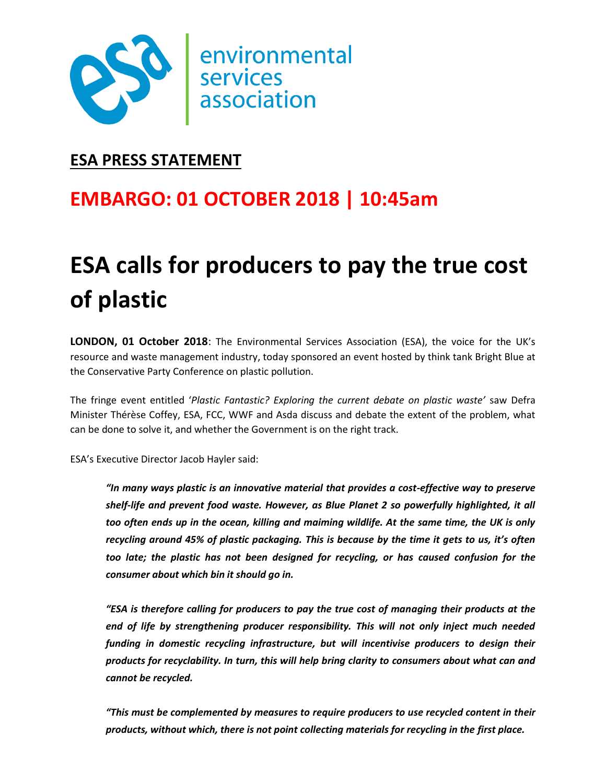

# **ESA PRESS STATEMENT**

# **EMBARGO: 01 OCTOBER 2018 | 10:45am**

# **ESA calls for producers to pay the true cost of plastic**

**LONDON, 01 October 2018**: The Environmental Services Association (ESA), the voice for the UK's resource and waste management industry, today sponsored an event hosted by think tank Bright Blue at the Conservative Party Conference on plastic pollution.

The fringe event entitled '*Plastic Fantastic? Exploring the current debate on plastic waste'* saw Defra Minister Thérèse Coffey, ESA, FCC, WWF and Asda discuss and debate the extent of the problem, what can be done to solve it, and whether the Government is on the right track.

ESA's Executive Director Jacob Hayler said:

*"In many ways plastic is an innovative material that provides a cost-effective way to preserve shelf-life and prevent food waste. However, as Blue Planet 2 so powerfully highlighted, it all too often ends up in the ocean, killing and maiming wildlife. At the same time, the UK is only recycling around 45% of plastic packaging. This is because by the time it gets to us, it's often too late; the plastic has not been designed for recycling, or has caused confusion for the consumer about which bin it should go in.* 

*"ESA is therefore calling for producers to pay the true cost of managing their products at the end of life by strengthening producer responsibility. This will not only inject much needed funding in domestic recycling infrastructure, but will incentivise producers to design their products for recyclability. In turn, this will help bring clarity to consumers about what can and cannot be recycled.* 

*"This must be complemented by measures to require producers to use recycled content in their products, without which, there is not point collecting materials for recycling in the first place.*